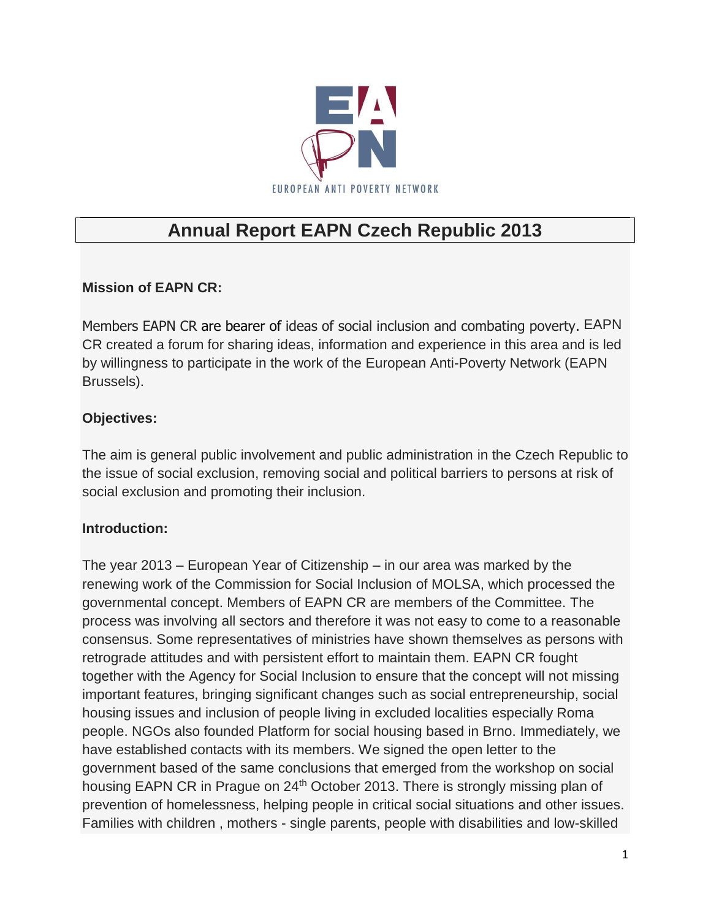

# **Annual Report EAPN Czech Republic 2013**

# **Mission of EAPN CR:**

Members EAPN CR are bearer of ideas of social inclusion and combating poverty. EAPN CR created a forum for sharing ideas, information and experience in this area and is led by willingness to participate in the work of the European Anti-Poverty Network (EAPN Brussels).

## **Objectives:**

The aim is general public involvement and public administration in the Czech Republic to the issue of social exclusion, removing social and political barriers to persons at risk of social exclusion and promoting their inclusion.

# **Introduction:**

The year 2013 – European Year of Citizenship – in our area was marked by the renewing work of the Commission for Social Inclusion of MOLSA, which processed the governmental concept. Members of EAPN CR are members of the Committee. The process was involving all sectors and therefore it was not easy to come to a reasonable consensus. Some representatives of ministries have shown themselves as persons with retrograde attitudes and with persistent effort to maintain them. EAPN CR fought together with the Agency for Social Inclusion to ensure that the concept will not missing important features, bringing significant changes such as social entrepreneurship, social housing issues and inclusion of people living in excluded localities especially Roma people. NGOs also founded Platform for social housing based in Brno. Immediately, we have established contacts with its members. We signed the open letter to the government based of the same conclusions that emerged from the workshop on social housing EAPN CR in Prague on 24<sup>th</sup> October 2013. There is strongly missing plan of prevention of homelessness, helping people in critical social situations and other issues. Families with children , mothers - single parents, people with disabilities and low-skilled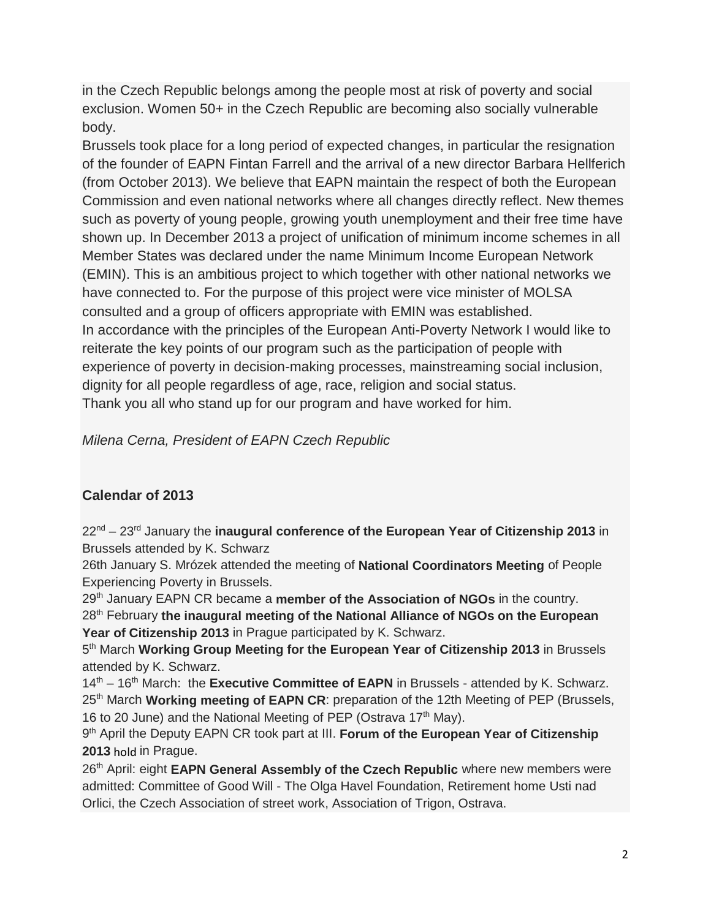in the Czech Republic belongs among the people most at risk of poverty and social exclusion. Women 50+ in the Czech Republic are becoming also socially vulnerable body.

Brussels took place for a long period of expected changes, in particular the resignation of the founder of EAPN Fintan Farrell and the arrival of a new director Barbara Hellferich (from October 2013). We believe that EAPN maintain the respect of both the European Commission and even national networks where all changes directly reflect. New themes such as poverty of young people, growing youth unemployment and their free time have shown up. In December 2013 a project of unification of minimum income schemes in all Member States was declared under the name Minimum Income European Network (EMIN). This is an ambitious project to which together with other national networks we have connected to. For the purpose of this project were vice minister of MOLSA consulted and a group of officers appropriate with EMIN was established. In accordance with the principles of the European Anti-Poverty Network I would like to reiterate the key points of our program such as the participation of people with experience of poverty in decision-making processes, mainstreaming social inclusion, dignity for all people regardless of age, race, religion and social status. Thank you all who stand up for our program and have worked for him.

*Milena Cerna, President of EAPN Czech Republic* 

## **Calendar of 2013**

22nd – 23rd January the **inaugural conference of the European Year of Citizenship 2013** in Brussels attended by K. Schwarz

26th January S. Mrózek attended the meeting of **National Coordinators Meeting** of People Experiencing Poverty in Brussels.

29th January EAPN CR became a **member of the Association of NGOs** in the country.

28th February **the inaugural meeting of the National Alliance of NGOs on the European Year of Citizenship 2013** in Prague participated by K. Schwarz.

5 th March **Working Group Meeting for the European Year of Citizenship 2013** in Brussels attended by K. Schwarz.

14<sup>th</sup> – 16<sup>th</sup> March: the **Executive Committee of EAPN** in Brussels - attended by K. Schwarz. 25<sup>th</sup> March **Working meeting of EAPN CR**: preparation of the 12th Meeting of PEP (Brussels, 16 to 20 June) and the National Meeting of PEP (Ostrava 17<sup>th</sup> May).

9 th April the Deputy EAPN CR took part at III. **Forum of the European Year of Citizenship 2013** hold in Prague.

26<sup>th</sup> April: eight **EAPN General Assembly of the Czech Republic** where new members were admitted: Committee of Good Will - The Olga Havel Foundation, Retirement home Usti nad Orlici, the Czech Association of street work, Association of Trigon, Ostrava.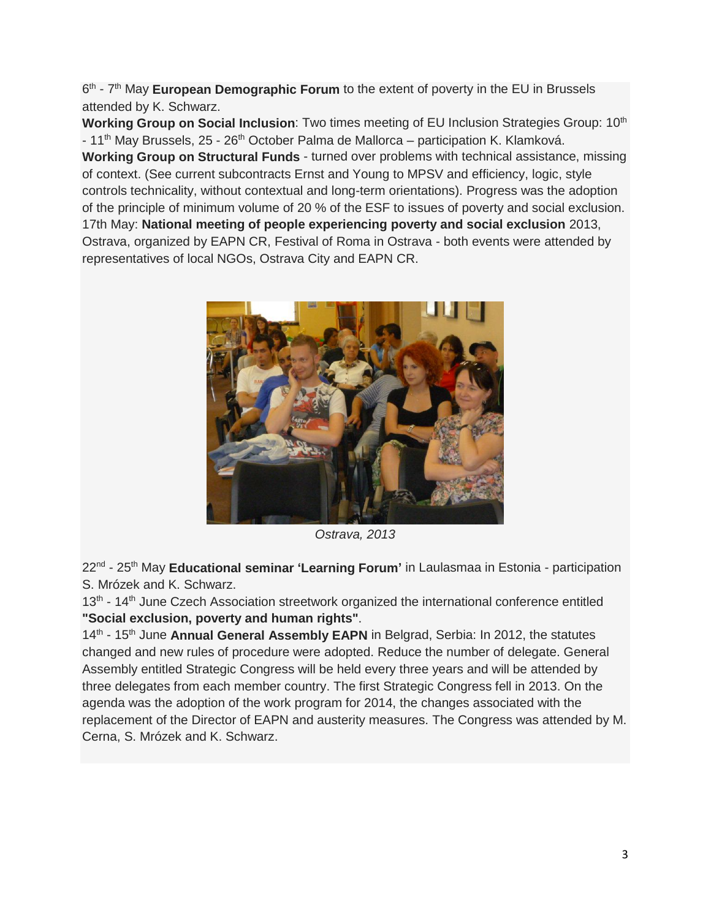6<sup>th</sup> - 7<sup>th</sup> May **European Demographic Forum** to the extent of poverty in the EU in Brussels attended by K. Schwarz.

**Working Group on Social Inclusion:** Two times meeting of EU Inclusion Strategies Group: 10<sup>th</sup> - 11<sup>th</sup> May Brussels, 25 - 26<sup>th</sup> October Palma de Mallorca – participation K. Klamková. **Working Group on Structural Funds** - turned over problems with technical assistance, missing of context. (See current subcontracts Ernst and Young to MPSV and efficiency, logic, style controls technicality, without contextual and long-term orientations). Progress was the adoption of the principle of minimum volume of 20 % of the ESF to issues of poverty and social exclusion. 17th May: **National meeting of people experiencing poverty and social exclusion** 2013, Ostrava, organized by EAPN CR, Festival of Roma in Ostrava - both events were attended by representatives of local NGOs, Ostrava City and EAPN CR.



*Ostrava, 2013*

22nd - 25th May **Educational seminar 'Learning Forum'** in Laulasmaa in Estonia - participation S. Mrózek and K. Schwarz.

13<sup>th</sup> - 14<sup>th</sup> June Czech Association streetwork organized the international conference entitled **"Social exclusion, poverty and human rights"**.

14<sup>th</sup> - 15<sup>th</sup> June **Annual General Assembly EAPN** in Belgrad, Serbia: In 2012, the statutes changed and new rules of procedure were adopted. Reduce the number of delegate. General Assembly entitled Strategic Congress will be held every three years and will be attended by three delegates from each member country. The first Strategic Congress fell in 2013. On the agenda was the adoption of the work program for 2014, the changes associated with the replacement of the Director of EAPN and austerity measures. The Congress was attended by M. Cerna, S. Mrózek and K. Schwarz.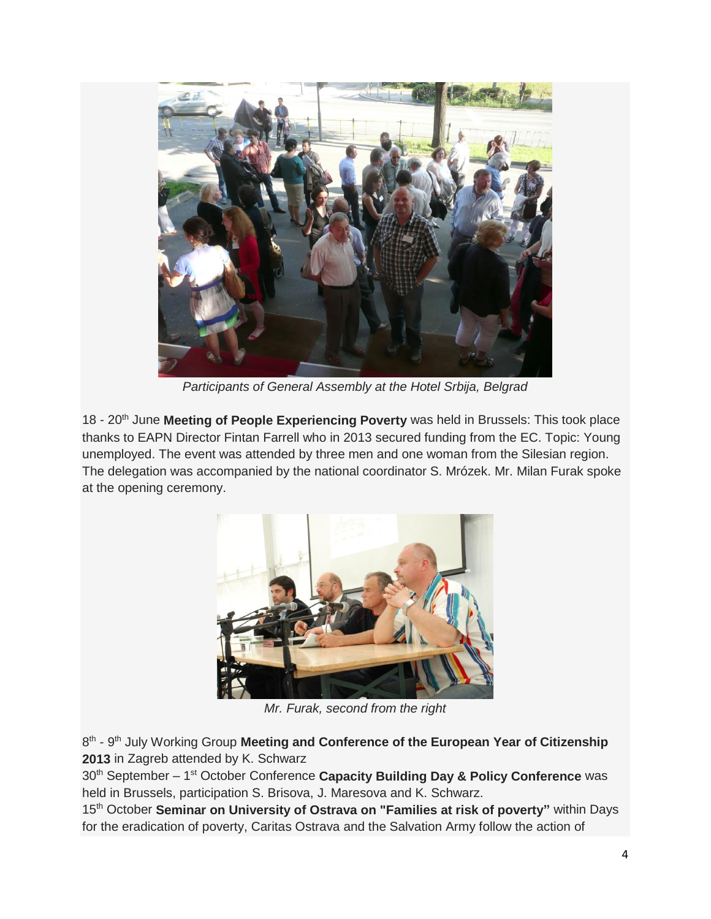

*Participants of General Assembly at the Hotel Srbija, Belgrad*

18 - 20<sup>th</sup> June Meeting of People Experiencing Poverty was held in Brussels: This took place thanks to EAPN Director Fintan Farrell who in 2013 secured funding from the EC. Topic: Young unemployed. The event was attended by three men and one woman from the Silesian region. The delegation was accompanied by the national coordinator S. Mrózek. Mr. Milan Furak spoke at the opening ceremony.



*Mr. Furak, second from the right*

8 th - 9 th July Working Group **Meeting and Conference of the European Year of Citizenship 2013** in Zagreb attended by K. Schwarz

30<sup>th</sup> September – 1<sup>st</sup> October Conference **Capacity Building Day & Policy Conference** was held in Brussels, participation S. Brisova, J. Maresova and K. Schwarz.

15<sup>th</sup> October Seminar on University of Ostrava on "Families at risk of poverty" within Days for the eradication of poverty, Caritas Ostrava and the Salvation Army follow the action of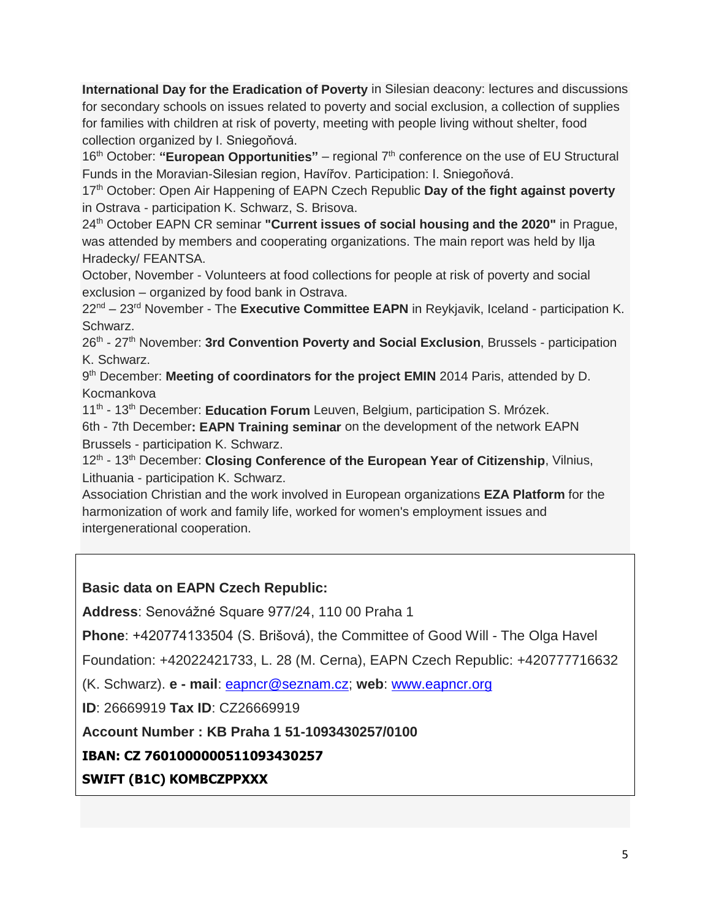**International Day for the Eradication of Poverty** in Silesian deacony: lectures and discussions for secondary schools on issues related to poverty and social exclusion, a collection of supplies for families with children at risk of poverty, meeting with people living without shelter, food collection organized by I. Sniegoňová.

16<sup>th</sup> October: "**European Opportunities**" – regional 7<sup>th</sup> conference on the use of EU Structural Funds in the Moravian-Silesian region, Havířov. Participation: I. Sniegoňová.

17th October: Open Air Happening of EAPN Czech Republic **Day of the fight against poverty** in Ostrava - participation K. Schwarz, S. Brisova.

24th October EAPN CR seminar **"Current issues of social housing and the 2020"** in Prague, was attended by members and cooperating organizations. The main report was held by Ilja Hradecky/ FEANTSA.

October, November - Volunteers at food collections for people at risk of poverty and social exclusion – organized by food bank in Ostrava.

22nd – 23rd November - The **Executive Committee EAPN** in Reykjavik, Iceland - participation K. Schwarz.

26th - 27th November: **3rd Convention Poverty and Social Exclusion**, Brussels - participation K. Schwarz.

9<sup>th</sup> December: Meeting of coordinators for the project EMIN 2014 Paris, attended by D. Kocmankova

11<sup>th</sup> - 13<sup>th</sup> December: Education Forum Leuven, Belgium, participation S. Mrózek.

6th - 7th December**: EAPN Training seminar** on the development of the network EAPN Brussels - participation K. Schwarz.

12<sup>th</sup> - 13<sup>th</sup> December: Closing Conference of the European Year of Citizenship, Vilnius, Lithuania - participation K. Schwarz.

Association Christian and the work involved in European organizations **EZA Platform** for the harmonization of work and family life, worked for women's employment issues and intergenerational cooperation.

**Basic data on EAPN Czech Republic:**

**Address**: Senovážné Square 977/24, 110 00 Praha 1

**Phone**: +420774133504 (S. Brišová), the Committee of Good Will - The Olga Havel

Foundation: +42022421733, L. 28 (M. Cerna), EAPN Czech Republic: +420777716632

(K. Schwarz). **e - mail**: [eapncr@seznam.cz;](mailto:eapncr@seznam.cz) **web**: [www.eapncr.org](http://www.eapncr.org/)

**ID**: 26669919 **Tax ID**: CZ26669919

**Account Number : KB Praha 1 51-1093430257/0100**

**IBAN: CZ 7601000000511093430257**

**SWIFT (B1C) KOMBCZPPXXX**